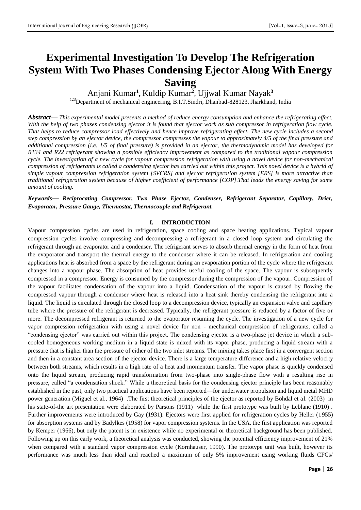# **Experimental Investigation To Develop The Refrigeration System With Two Phases Condensing Ejector Along With Energy Saving**

Anjani Kumar**<sup>1</sup> ,** Kuldip Kumar**<sup>2</sup>** , Ujjwal Kumar Nayak**<sup>3</sup>**

<sup>123</sup>Department of mechanical engineering, B.I.T.Sindri, Dhanbad-828123, Jharkhand, India

*Abstract***—** *This experimental model presents a method of reduce energy consumption and enhance the refrigerating effect. With the help of two phases condensing ejector it is found that ejector work as sub compressor in refrigeration flow cycle. That helps to reduce compressor load effectively and hence improve refrigerating effect. The new cycle includes a second step compression by an ejector device, the compressor compresses the vapour to approximately 4/5 of the final pressure and additional compression (i.e. 1/5 of final pressure) is provided in an ejector, the thermodynamic model has developed for R134 and R22 refrigerant showing a possible efficiency improvement as compared to the traditional vapour compression cycle. The investigation of a new cycle for vapour compression refrigeration with using a novel device for non-mechanical compression of refrigerants is called a condensing ejector has carried out within this project. This novel device is a hybrid of simple vapour compression refrigeration system [SVCRS] and ejector refrigeration system [ERS] is more attractive than traditional refrigeration system because of higher coefficient of performance [COP].That leads the energy saving for same amount of cooling.*

*Keywords***—** *Reciprocating Compressor, Two Phase Ejector, Condenser, Refrigerant Separator, Capillary, Drier, Evaporator, Pressure Gauge, Thermostat, Thermocouple and Refrigerant.*

#### **I. INTRODUCTION**

Vapour compression cycles are used in refrigeration, space cooling and space heating applications. Typical vapour compression cycles involve compressing and decompressing a refrigerant in a closed loop system and circulating the refrigerant through an evaporator and a condenser. The refrigerant serves to absorb thermal energy in the form of heat from the evaporator and transport the thermal energy to the condenser where it can be released. In refrigeration and cooling applications heat is absorbed from a space by the refrigerant during an evaporation portion of the cycle where the refrigerant changes into a vapour phase. The absorption of heat provides useful cooling of the space. The vapour is subsequently compressed in a compressor. Energy is consumed by the compressor during the compression of the vapour. Compression of the vapour facilitates condensation of the vapour into a liquid. Condensation of the vapour is caused by flowing the compressed vapour through a condenser where heat is released into a heat sink thereby condensing the refrigerant into a liquid. The liquid is circulated through the closed loop to a decompression device, typically an expansion valve and capillary tube where the pressure of the refrigerant is decreased. Typically, the refrigerant pressure is reduced by a factor of five or more. The decompressed refrigerant is returned to the evaporator resuming the cycle. The investigation of a new cycle for vapor compression refrigeration with using a novel device for non - mechanical compression of refrigerants, called a "condensing ejector" was carried out within this project. The condensing ejector is a two-phase jet device in which a subcooled homogeneous working medium in a liquid state is mixed with its vapor phase, producing a liquid stream with a pressure that is higher than the pressure of either of the two inlet streams. The mixing takes place first in a convergent section and then in a constant area section of the ejector device. There is a large temperature difference and a high relative velocity between both streams, which results in a high rate of a heat and momentum transfer. The vapor phase is quickly condensed onto the liquid stream, producing rapid transformation from two-phase into single-phase flow with a resulting rise in pressure, called "a condensation shock." While a theoretical basis for the condensing ejector principle has been reasonably established in the past, only two practical applications have been reported—for underwater propulsion and liquid metal MHD power generation (Miguel et al., 1964) .The first theoretical principles of the ejector as reported by Bohdal et al. (2003) in his state-of-the art presentation were elaborated by Parsons (1911) while the first prototype was built by Leblanc (1910) . Further improvements were introduced by Gay (1931). Ejectors were first applied for refrigeration cycles by Heller (1955) for absorption systems and by Badylkes (1958) for vapor compression systems. In the USA, the first application was reported by Kemper (1966), but only the patent is in existence while no experimental or theoretical background has been published. Following up on this early work, a theoretical analysis was conducted, showing the potential efficiency improvement of 21% when compared with a standard vapor compression cycle (Kornhauser, 1990). The prototype unit was built, however its performance was much less than ideal and reached a maximum of only 5% improvement using working fluids CFCs/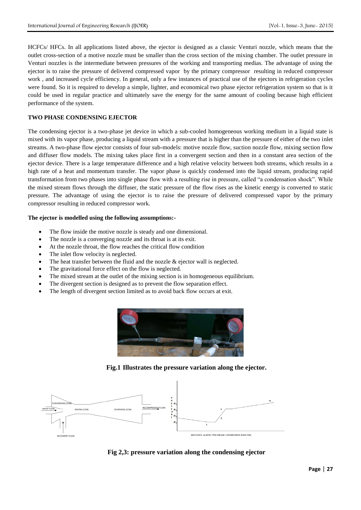HCFCs/ HFCs. In all applications listed above, the ejector is designed as a classic Venturi nozzle, which means that the outlet cross-section of a motive nozzle must be smaller than the cross section of the mixing chamber. The outlet pressure in Venturi nozzles is the intermediate between pressures of the working and transporting medias. The advantage of using the ejector is to raise the pressure of delivered compressed vapor by the primary compressor resulting in reduced compressor work , and increased cycle efficiency. In general, only a few instances of practical use of the ejectors in refrigeration cycles were found. So it is required to develop a simple, lighter, and economical two phase ejector refrigeration system so that is it could be used in regular practice and ultimately save the energy for the same amount of cooling because high efficient performance of the system.

#### **TWO PHASE CONDENSING EJECTOR**

The condensing ejector is a two-phase jet device in which a sub-cooled homogeneous working medium in a liquid state is mixed with its vapor phase, producing a liquid stream with a pressure that is higher than the pressure of either of the two inlet streams. A two-phase flow ejector consists of four sub-models: motive nozzle flow, suction nozzle flow, mixing section flow and diffuser flow models. The mixing takes place first in a convergent section and then in a constant area section of the ejector device. There is a large temperature difference and a high relative velocity between both streams, which results in a high rate of a heat and momentum transfer. The vapor phase is quickly condensed into the liquid stream, producing rapid transformation from two phases into single phase flow with a resulting rise in pressure, called "a condensation shock". While the mixed stream flows through the diffuser, the static pressure of the flow rises as the kinetic energy is converted to static pressure. The advantage of using the ejector is to raise the pressure of delivered compressed vapor by the primary compressor resulting in reduced compressor work.

#### **The ejector is modelled using the following assumptions:-**

- The flow inside the motive nozzle is steady and one dimensional.
- The nozzle is a converging nozzle and its throat is at its exit.
- At the nozzle throat, the flow reaches the critical flow condition
- The inlet flow velocity is neglected.
- The heat transfer between the fluid and the nozzle & ejector wall is neglected.
- The gravitational force effect on the flow is neglected.
- The mixed stream at the outlet of the mixing section is in homogeneous equilibrium.
- The divergent section is designed as to prevent the flow separation effect.
- The length of divergent section limited as to avoid back flow occurs at exit.



**Fig.1 Illustrates the pressure variation along the ejector.**



**Fig 2,3: pressure variation along the condensing ejector**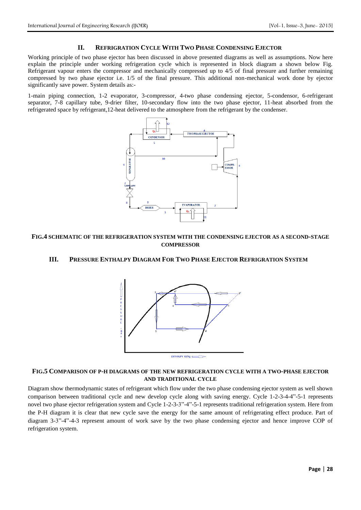#### **II. REFRIGRATION CYCLE WITH TWO PHASE CONDENSING EJECTOR**

Working principle of two phase ejector has been discussed in above presented diagrams as well as assumptions. Now here explain the principle under working refrigeration cycle which is represented in block diagram a shown below Fig. Refrigerant vapour enters the compressor and mechanically compressed up to 4/5 of final pressure and further remaining compressed by two phase ejector i.e. 1/5 of the final pressure. This additional non-mechanical work done by ejector significantly save power. System details as:-

1-main piping connection, 1-2 evaporator, 3-compressor, 4-two phase condensing ejector, 5-condensor, 6-refrigerant separator, 7-8 capillary tube, 9-drier filter, 10-secondary flow into the two phase ejector, 11-heat absorbed from the refrigerated space by refrigerant,12-heat delivered to the atmosphere from the refrigerant by the condenser.



#### **FIG.4 SCHEMATIC OF THE REFRIGERATION SYSTEM WITH THE CONDENSING EJECTOR AS A SECOND-STAGE COMPRESSOR**

## **III. PRESSURE ENTHALPY DIAGRAM FOR TWO PHASE EJECTOR REFRIGRATION SYSTEM**



#### **FIG.5 COMPARISON OF P-H DIAGRAMS OF THE NEW REFRIGERATION CYCLE WITH A TWO-PHASE EJECTOR AND TRADITIONAL CYCLE**

Diagram show thermodynamic states of refrigerant which flow under the two phase condensing ejector system as well shown comparison between traditional cycle and new develop cycle along with saving energy. Cycle 1-2-3-4-4"-5-1 represents novel two phase ejector refrigeration system and Cycle 1-2-3-3"-4"-5-1 represents traditional refrigeration system. Here from the P-H diagram it is clear that new cycle save the energy for the same amount of refrigerating effect produce. Part of diagram 3-3"-4"-4-3 represent amount of work save by the two phase condensing ejector and hence improve COP of refrigeration system.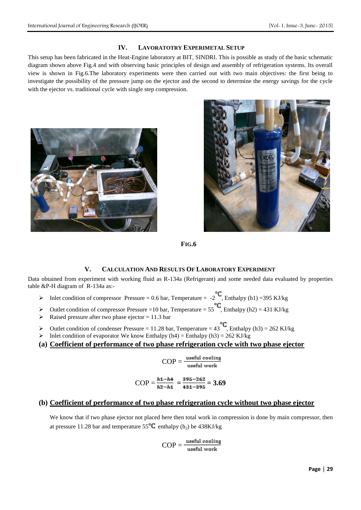#### **IV. LAVORATOTRY EXPERIMETAL SETUP**

This setup has been fabricated in the Heat-Engine laboratory at BIT, SINDRI. This is possible as study of the basic schematic diagram shown above Fig.4 and with observing basic principles of design and assembly of refrigeration systems. Its overall view is shown in Fig.6.The laboratory experiments were then carried out with two main objectives: the first being to investigate the possibility of the pressure jump on the ejector and the second to determine the energy savings for the cycle with the ejector vs. traditional cycle with single step compression.





**FIG.6**

# **V. CALCULATION AND RESULTS OF LABORATORY EXPERIMENT**

Data obtained from experiment with working fluid as R-134a (Refrigerant) and some needed data evaluated by properties table &P-H diagram of R-134a as:-

- Inlet condition of compressor Pressure = 0.6 bar, Temperature =  $-2^{\circ}C$ , Enthalpy (h1) = 395 KJ/kg
- Outlet condition of compressor Pressure =10 bar, Temperature =  $55^{\circ}C$ , Enthalpy (h2) = 431 KJ/kg
- $\triangleright$  Raised pressure after two phase ejector = 11.3 bar
- $\triangleright$  Outlet condition of condenser Pressure = 11.28 bar, Temperature = 43<sup>°C</sup>, Enthalpy (h3) = 262 KJ/kg
- Inlet condition of evaporator We know Enthalpy (h4) = Enthalpy (h3) = 262 KJ/kg
- **(a) Coefficient of performance of two phase refrigeration cycle with two phase ejector**

$$
COP = \frac{\text{useful cooling}}{\text{useful work}}
$$

$$
COP = \frac{h_1 - h_4}{h_2 - h_1} = \frac{395 - 262}{431 - 395} = 3.69
$$

# **(b) Coefficient of performance of two phase refrigeration cycle without two phase ejector**

We know that if two phase ejector not placed here then total work in compression is done by main compressor, then at pressure 11.28 bar and temperature  $55^{\circ}C$  enthalpy (h<sub>2</sub>) be 438KJ/kg

$$
COP = \frac{\text{useful cooling}}{\text{useful work}}
$$